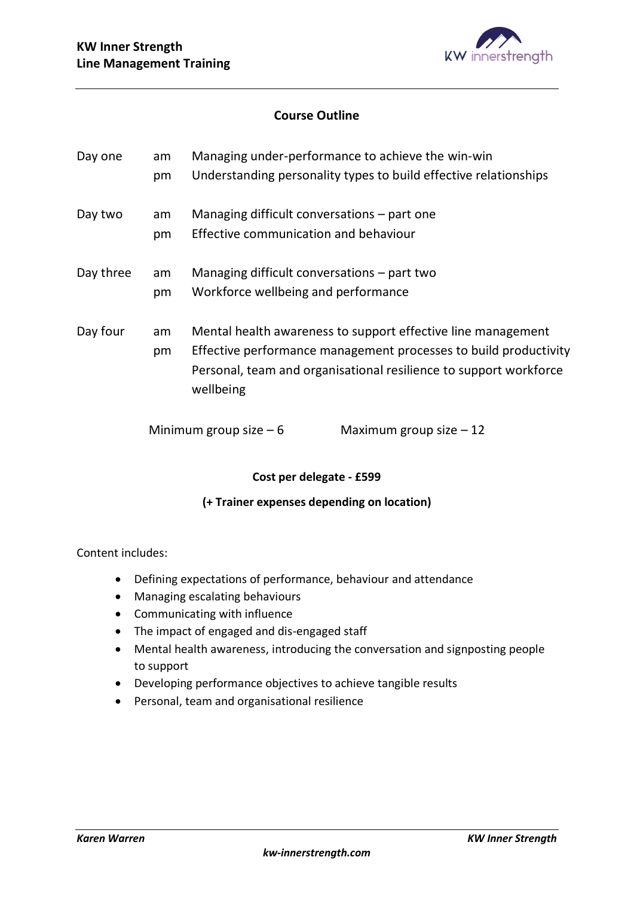

## **Course Outline**

| Day one   | Managing under-performance to achieve the win-win<br>am |                                                                  |                                                                   |
|-----------|---------------------------------------------------------|------------------------------------------------------------------|-------------------------------------------------------------------|
|           | pm                                                      |                                                                  | Understanding personality types to build effective relationships  |
| Day two   | am                                                      |                                                                  | Managing difficult conversations - part one                       |
|           | pm                                                      | Effective communication and behaviour                            |                                                                   |
| Day three | am                                                      |                                                                  | Managing difficult conversations $-$ part two                     |
|           | pm                                                      | Workforce wellbeing and performance                              |                                                                   |
| Day four  | am                                                      | Mental health awareness to support effective line management     |                                                                   |
|           | pm                                                      | Effective performance management processes to build productivity |                                                                   |
|           |                                                         | wellbeing                                                        | Personal, team and organisational resilience to support workforce |
|           |                                                         | Minimum group size $-6$                                          | Maximum group size $-12$                                          |

## **Cost per delegate - £599**

## **(+ Trainer expenses depending on location)**

- Defining expectations of performance, behaviour and attendance
- Managing escalating behaviours
- Communicating with influence
- The impact of engaged and dis-engaged staff
- Mental health awareness, introducing the conversation and signposting people to support
- Developing performance objectives to achieve tangible results
- Personal, team and organisational resilience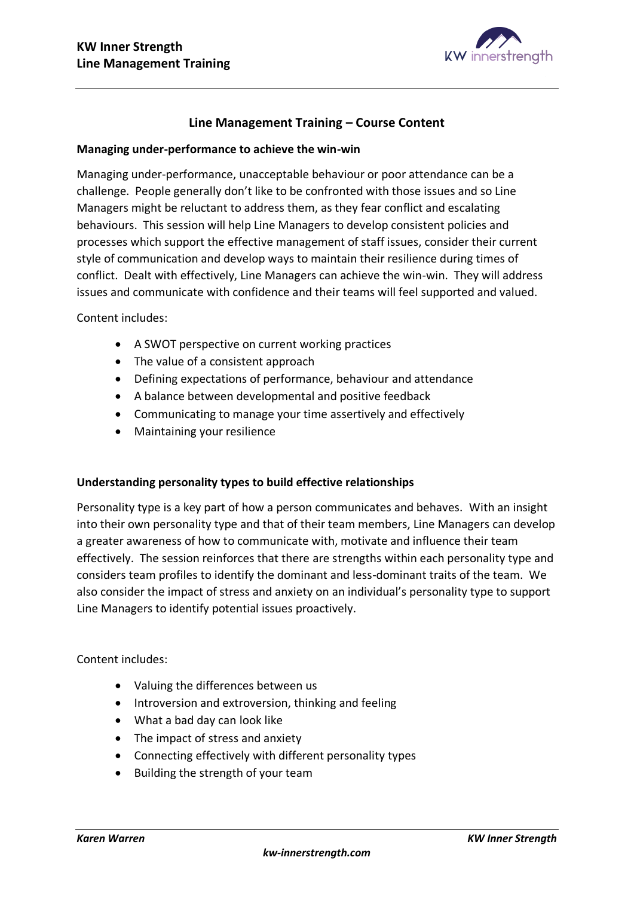

# **Line Management Training – Course Content**

## **Managing under-performance to achieve the win-win**

Managing under-performance, unacceptable behaviour or poor attendance can be a challenge. People generally don't like to be confronted with those issues and so Line Managers might be reluctant to address them, as they fear conflict and escalating behaviours. This session will help Line Managers to develop consistent policies and processes which support the effective management of staff issues, consider their current style of communication and develop ways to maintain their resilience during times of conflict. Dealt with effectively, Line Managers can achieve the win-win. They will address issues and communicate with confidence and their teams will feel supported and valued.

#### Content includes:

- A SWOT perspective on current working practices
- The value of a consistent approach
- Defining expectations of performance, behaviour and attendance
- A balance between developmental and positive feedback
- Communicating to manage your time assertively and effectively
- Maintaining your resilience

## **Understanding personality types to build effective relationships**

Personality type is a key part of how a person communicates and behaves. With an insight into their own personality type and that of their team members, Line Managers can develop a greater awareness of how to communicate with, motivate and influence their team effectively. The session reinforces that there are strengths within each personality type and considers team profiles to identify the dominant and less-dominant traits of the team. We also consider the impact of stress and anxiety on an individual's personality type to support Line Managers to identify potential issues proactively.

- Valuing the differences between us
- Introversion and extroversion, thinking and feeling
- What a bad day can look like
- The impact of stress and anxiety
- Connecting effectively with different personality types
- Building the strength of your team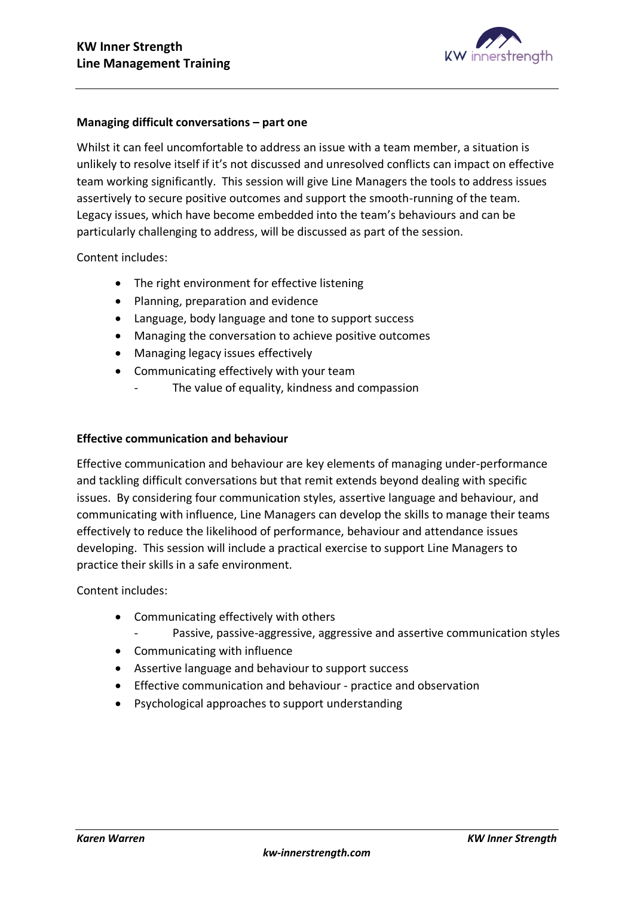

## **Managing difficult conversations – part one**

Whilst it can feel uncomfortable to address an issue with a team member, a situation is unlikely to resolve itself if it's not discussed and unresolved conflicts can impact on effective team working significantly. This session will give Line Managers the tools to address issues assertively to secure positive outcomes and support the smooth-running of the team. Legacy issues, which have become embedded into the team's behaviours and can be particularly challenging to address, will be discussed as part of the session.

Content includes:

- The right environment for effective listening
- Planning, preparation and evidence
- Language, body language and tone to support success
- Managing the conversation to achieve positive outcomes
- Managing legacy issues effectively
- Communicating effectively with your team
	- The value of equality, kindness and compassion

## **Effective communication and behaviour**

Effective communication and behaviour are key elements of managing under-performance and tackling difficult conversations but that remit extends beyond dealing with specific issues. By considering four communication styles, assertive language and behaviour, and communicating with influence, Line Managers can develop the skills to manage their teams effectively to reduce the likelihood of performance, behaviour and attendance issues developing. This session will include a practical exercise to support Line Managers to practice their skills in a safe environment.

- Communicating effectively with others
	- Passive, passive-aggressive, aggressive and assertive communication styles
- Communicating with influence
- Assertive language and behaviour to support success
- Effective communication and behaviour practice and observation
- Psychological approaches to support understanding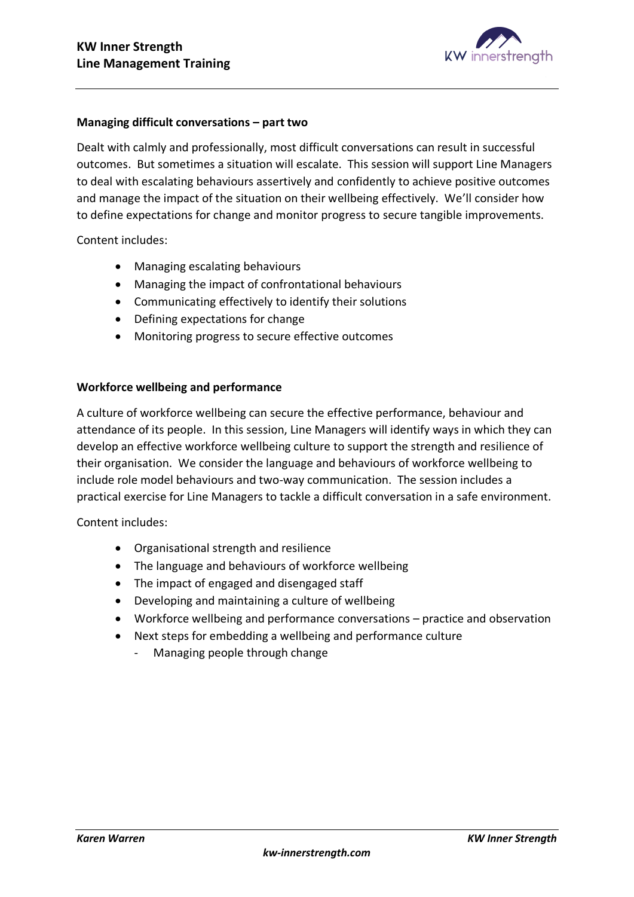

#### **Managing difficult conversations – part two**

Dealt with calmly and professionally, most difficult conversations can result in successful outcomes. But sometimes a situation will escalate. This session will support Line Managers to deal with escalating behaviours assertively and confidently to achieve positive outcomes and manage the impact of the situation on their wellbeing effectively. We'll consider how to define expectations for change and monitor progress to secure tangible improvements.

Content includes:

- Managing escalating behaviours
- Managing the impact of confrontational behaviours
- Communicating effectively to identify their solutions
- Defining expectations for change
- Monitoring progress to secure effective outcomes

#### **Workforce wellbeing and performance**

A culture of workforce wellbeing can secure the effective performance, behaviour and attendance of its people. In this session, Line Managers will identify ways in which they can develop an effective workforce wellbeing culture to support the strength and resilience of their organisation. We consider the language and behaviours of workforce wellbeing to include role model behaviours and two-way communication. The session includes a practical exercise for Line Managers to tackle a difficult conversation in a safe environment.

- Organisational strength and resilience
- The language and behaviours of workforce wellbeing
- The impact of engaged and disengaged staff
- Developing and maintaining a culture of wellbeing
- Workforce wellbeing and performance conversations practice and observation
- Next steps for embedding a wellbeing and performance culture
	- Managing people through change